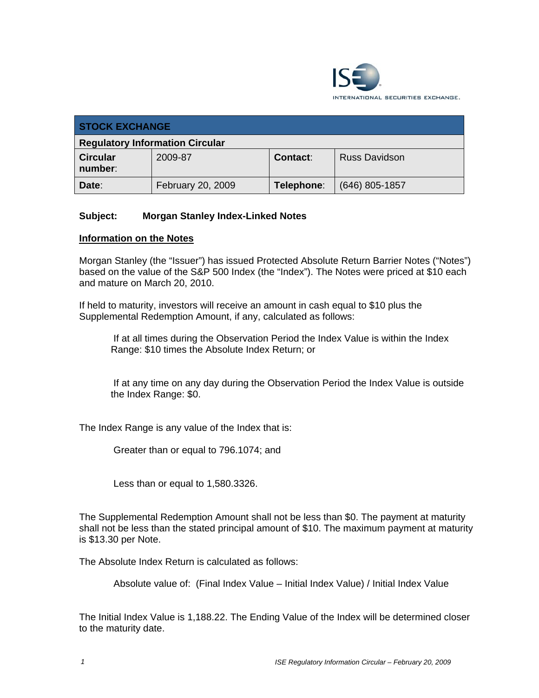

| <b>STOCK EXCHANGE</b>                  |                   |                 |                      |
|----------------------------------------|-------------------|-----------------|----------------------|
| <b>Regulatory Information Circular</b> |                   |                 |                      |
| <b>Circular</b><br>number:             | 2009-87           | <b>Contact:</b> | <b>Russ Davidson</b> |
| Date:                                  | February 20, 2009 | Telephone:      | $(646)$ 805-1857     |

# **Subject: Morgan Stanley Index-Linked Notes**

#### **Information on the Notes**

Morgan Stanley (the "Issuer") has issued Protected Absolute Return Barrier Notes ("Notes") based on the value of the S&P 500 Index (the "Index"). The Notes were priced at \$10 each and mature on March 20, 2010.

If held to maturity, investors will receive an amount in cash equal to \$10 plus the Supplemental Redemption Amount, if any, calculated as follows:

 If at all times during the Observation Period the Index Value is within the Index Range: \$10 times the Absolute Index Return; or

 If at any time on any day during the Observation Period the Index Value is outside the Index Range: \$0.

The Index Range is any value of the Index that is:

Greater than or equal to 796.1074; and

Less than or equal to 1,580.3326.

The Supplemental Redemption Amount shall not be less than \$0. The payment at maturity shall not be less than the stated principal amount of \$10. The maximum payment at maturity is \$13.30 per Note.

The Absolute Index Return is calculated as follows:

Absolute value of: (Final Index Value – Initial Index Value) / Initial Index Value

The Initial Index Value is 1,188.22. The Ending Value of the Index will be determined closer to the maturity date.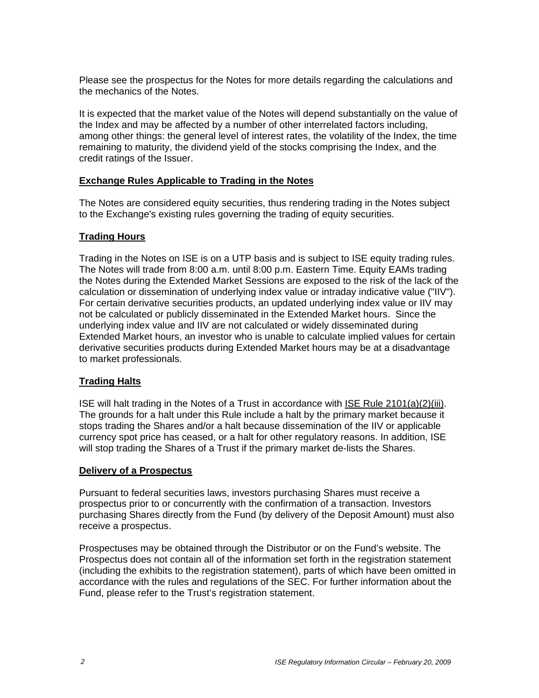Please see the prospectus for the Notes for more details regarding the calculations and the mechanics of the Notes.

It is expected that the market value of the Notes will depend substantially on the value of the Index and may be affected by a number of other interrelated factors including, among other things: the general level of interest rates, the volatility of the Index, the time remaining to maturity, the dividend yield of the stocks comprising the Index, and the credit ratings of the Issuer.

## **Exchange Rules Applicable to Trading in the Notes**

The Notes are considered equity securities, thus rendering trading in the Notes subject to the Exchange's existing rules governing the trading of equity securities.

## **Trading Hours**

Trading in the Notes on ISE is on a UTP basis and is subject to ISE equity trading rules. The Notes will trade from 8:00 a.m. until 8:00 p.m. Eastern Time. Equity EAMs trading the Notes during the Extended Market Sessions are exposed to the risk of the lack of the calculation or dissemination of underlying index value or intraday indicative value ("IIV"). For certain derivative securities products, an updated underlying index value or IIV may not be calculated or publicly disseminated in the Extended Market hours. Since the underlying index value and IIV are not calculated or widely disseminated during Extended Market hours, an investor who is unable to calculate implied values for certain derivative securities products during Extended Market hours may be at a disadvantage to market professionals.

# **Trading Halts**

ISE will halt trading in the Notes of a Trust in accordance with ISE Rule 2101(a)(2)(iii). The grounds for a halt under this Rule include a halt by the primary market because it stops trading the Shares and/or a halt because dissemination of the IIV or applicable currency spot price has ceased, or a halt for other regulatory reasons. In addition, ISE will stop trading the Shares of a Trust if the primary market de-lists the Shares.

#### **Delivery of a Prospectus**

Pursuant to federal securities laws, investors purchasing Shares must receive a prospectus prior to or concurrently with the confirmation of a transaction. Investors purchasing Shares directly from the Fund (by delivery of the Deposit Amount) must also receive a prospectus.

Prospectuses may be obtained through the Distributor or on the Fund's website. The Prospectus does not contain all of the information set forth in the registration statement (including the exhibits to the registration statement), parts of which have been omitted in accordance with the rules and regulations of the SEC. For further information about the Fund, please refer to the Trust's registration statement.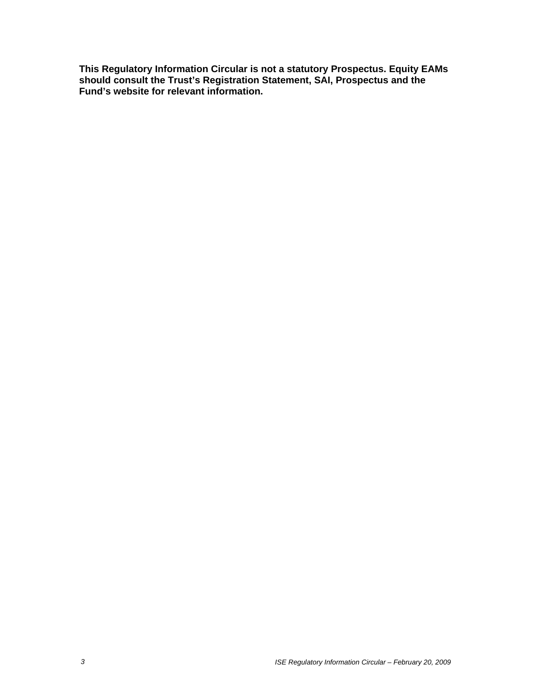**This Regulatory Information Circular is not a statutory Prospectus. Equity EAMs should consult the Trust's Registration Statement, SAI, Prospectus and the Fund's website for relevant information.**